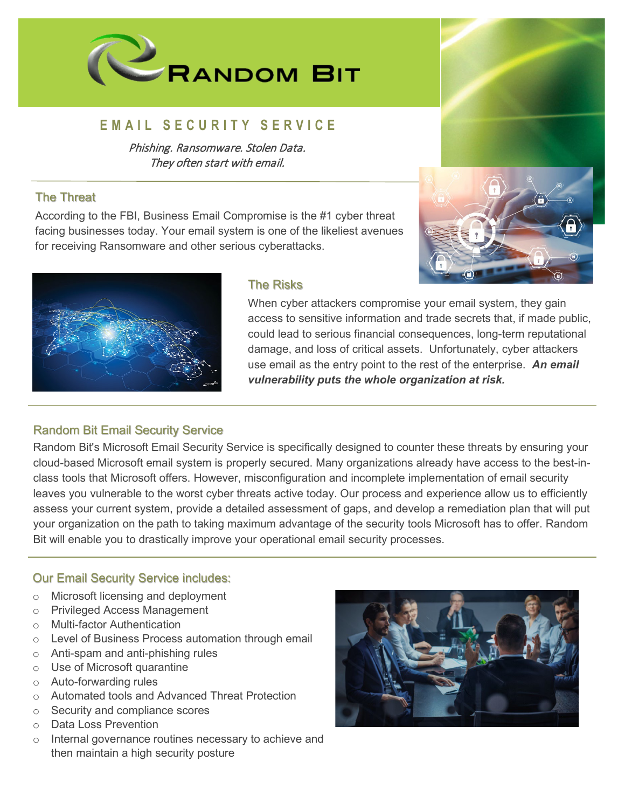

# **EMAIL SECURITY SERVICE**

Phishing. Ransomware. Stolen Data. They often start with email.

#### The Threat

According to the FBI, Business Email Compromise is the #1 cyber threat facing businesses today. Your email system is one of the likeliest avenues for receiving Ransomware and other serious cyberattacks.





## The Risks

When cyber attackers compromise your email system, they gain access to sensitive information and trade secrets that, if made public, could lead to serious financial consequences, long-term reputational damage, and loss of critical assets. Unfortunately, cyber attackers use email as the entry point to the rest of the enterprise. *An email vulnerability puts the whole organization at risk.*

## Random Bit Email Security Service

Random Bit's Microsoft Email Security Service is specifically designed to counter these threats by ensuring your cloud-based Microsoft email system is properly secured. Many organizations already have access to the best-inclass tools that Microsoft offers. However, misconfiguration and incomplete implementation of email security leaves you vulnerable to the worst cyber threats active today. Our process and experience allow us to efficiently assess your current system, provide a detailed assessment of gaps, and develop a remediation plan that will put your organization on the path to taking maximum advantage of the security tools Microsoft has to offer. Random Bit will enable you to drastically improve your operational email security processes.

## Our Email Security Service includes:

- o Microsoft licensing and deployment
- o Privileged Access Management
- o Multi-factor Authentication
- o Level of Business Process automation through email
- o Anti-spam and anti-phishing rules
- o Use of Microsoft quarantine
- o Auto-forwarding rules
- o Automated tools and Advanced Threat Protection
- o Security and compliance scores
- o Data Loss Prevention
- o Internal governance routines necessary to achieve and then maintain a high security posture